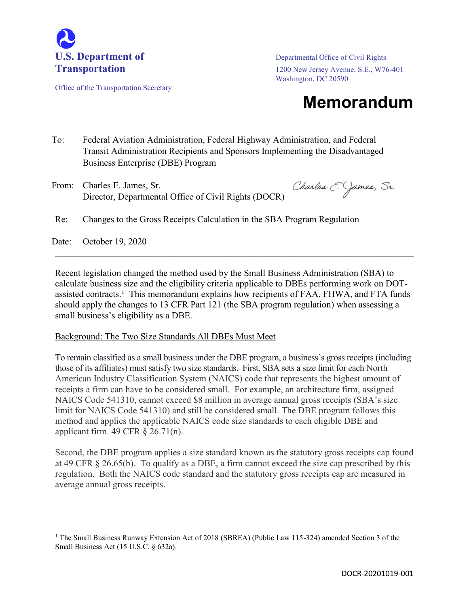

Office of the Transportation Secretary

Transportation 1200 New Jersey Avenue, S.E., W76-401 Washington, DC 20590

## **Memorandum**

- To: Federal Aviation Administration, Federal Highway Administration, and Federal Transit Administration Recipients and Sponsors Implementing the Disadvantaged Business Enterprise (DBE) Program
- From: Charles E. James, Sr. Director, Departmental Office of Civil Rights (DOCR)

Charles C. James, Sr.

Re: Changes to the Gross Receipts Calculation in the SBA Program Regulation

Date: October 19, 2020

 $\overline{\phantom{a}}$ 

Recent legislation changed the method used by the Small Business Administration (SBA) to calculate business size and the eligibility criteria applicable to DBEs performing work on DOTassisted contracts.<sup>1</sup> This memorandum explains how recipients of FAA, FHWA, and FTA funds should apply the changes to 13 CFR Part 121 (the SBA program regulation) when assessing a small business's eligibility as a DBE.

 $\mathcal{L}_\mathcal{L} = \mathcal{L}_\mathcal{L} = \mathcal{L}_\mathcal{L} = \mathcal{L}_\mathcal{L} = \mathcal{L}_\mathcal{L} = \mathcal{L}_\mathcal{L} = \mathcal{L}_\mathcal{L} = \mathcal{L}_\mathcal{L} = \mathcal{L}_\mathcal{L} = \mathcal{L}_\mathcal{L} = \mathcal{L}_\mathcal{L} = \mathcal{L}_\mathcal{L} = \mathcal{L}_\mathcal{L} = \mathcal{L}_\mathcal{L} = \mathcal{L}_\mathcal{L} = \mathcal{L}_\mathcal{L} = \mathcal{L}_\mathcal{L}$ 

## Background: The Two Size Standards All DBEs Must Meet

To remain classified as a small business under the DBE program, a business's gross receipts (including those of its affiliates) must satisfy two size standards. First, SBA sets a size limit for each North American Industry Classification System (NAICS) code that represents the highest amount of receipts a firm can have to be considered small. For example, an architecture firm, assigned NAICS Code 541310, cannot exceed \$8 million in average annual gross receipts (SBA's size limit for NAICS Code 541310) and still be considered small. The DBE program follows this method and applies the applicable NAICS code size standards to each eligible DBE and applicant firm.  $49 \text{ CFR } \S$  26.71(n).

Second, the DBE program applies a size standard known as the statutory gross receipts cap found at 49 CFR § 26.65(b). To qualify as a DBE, a firm cannot exceed the size cap prescribed by this regulation. Both the NAICS code standard and the statutory gross receipts cap are measured in average annual gross receipts.

<sup>&</sup>lt;sup>1</sup> The Small Business Runway Extension Act of 2018 (SBREA) (Public Law 115-324) amended Section 3 of the Small Business Act (15 U.S.C. § 632a).